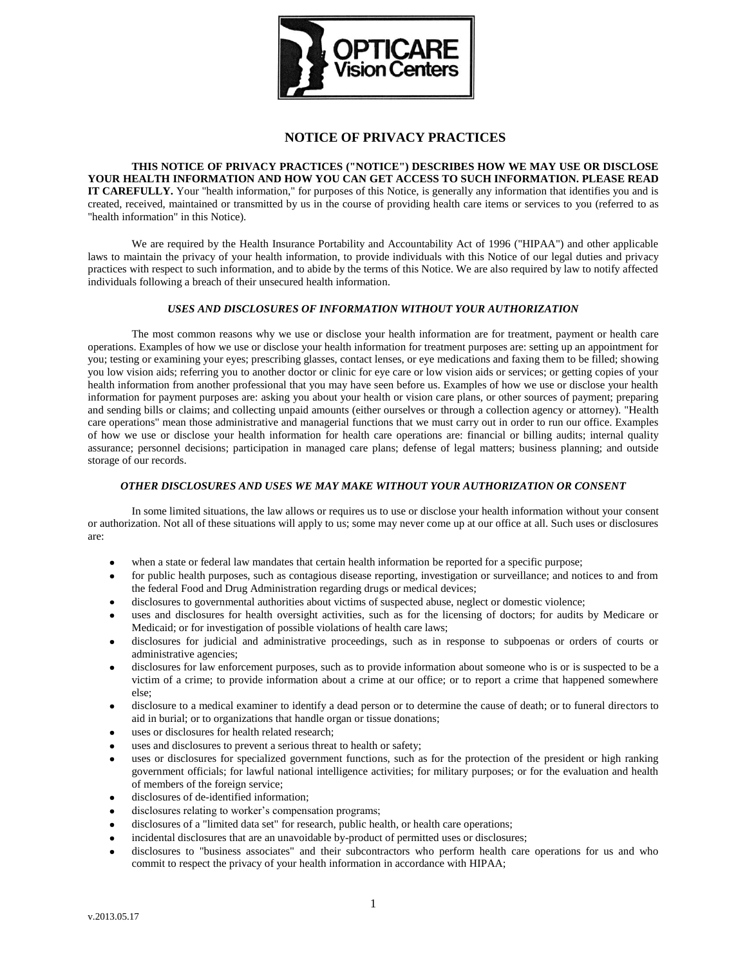

# **NOTICE OF PRIVACY PRACTICES**

**THIS NOTICE OF PRIVACY PRACTICES ("NOTICE") DESCRIBES HOW WE MAY USE OR DISCLOSE YOUR HEALTH INFORMATION AND HOW YOU CAN GET ACCESS TO SUCH INFORMATION. PLEASE READ IT CAREFULLY.** Your "health information," for purposes of this Notice, is generally any information that identifies you and is created, received, maintained or transmitted by us in the course of providing health care items or services to you (referred to as "health information" in this Notice).

We are required by the Health Insurance Portability and Accountability Act of 1996 ("HIPAA") and other applicable laws to maintain the privacy of your health information, to provide individuals with this Notice of our legal duties and privacy practices with respect to such information, and to abide by the terms of this Notice. We are also required by law to notify affected individuals following a breach of their unsecured health information.

## *USES AND DISCLOSURES OF INFORMATION WITHOUT YOUR AUTHORIZATION*

The most common reasons why we use or disclose your health information are for treatment, payment or health care operations. Examples of how we use or disclose your health information for treatment purposes are: setting up an appointment for you; testing or examining your eyes; prescribing glasses, contact lenses, or eye medications and faxing them to be filled; showing you low vision aids; referring you to another doctor or clinic for eye care or low vision aids or services; or getting copies of your health information from another professional that you may have seen before us. Examples of how we use or disclose your health information for payment purposes are: asking you about your health or vision care plans, or other sources of payment; preparing and sending bills or claims; and collecting unpaid amounts (either ourselves or through a collection agency or attorney). "Health care operations" mean those administrative and managerial functions that we must carry out in order to run our office. Examples of how we use or disclose your health information for health care operations are: financial or billing audits; internal quality assurance; personnel decisions; participation in managed care plans; defense of legal matters; business planning; and outside storage of our records.

#### *OTHER DISCLOSURES AND USES WE MAY MAKE WITHOUT YOUR AUTHORIZATION OR CONSENT*

In some limited situations, the law allows or requires us to use or disclose your health information without your consent or authorization. Not all of these situations will apply to us; some may never come up at our office at all. Such uses or disclosures are:

- when a state or federal law mandates that certain health information be reported for a specific purpose;
- for public health purposes, such as contagious disease reporting, investigation or surveillance; and notices to and from the federal Food and Drug Administration regarding drugs or medical devices;
- disclosures to governmental authorities about victims of suspected abuse, neglect or domestic violence;
- uses and disclosures for health oversight activities, such as for the licensing of doctors; for audits by Medicare or Medicaid; or for investigation of possible violations of health care laws;
- disclosures for judicial and administrative proceedings, such as in response to subpoenas or orders of courts or administrative agencies;
- disclosures for law enforcement purposes, such as to provide information about someone who is or is suspected to be a victim of a crime; to provide information about a crime at our office; or to report a crime that happened somewhere else;
- disclosure to a medical examiner to identify a dead person or to determine the cause of death; or to funeral directors to aid in burial; or to organizations that handle organ or tissue donations;
- uses or disclosures for health related research;
- uses and disclosures to prevent a serious threat to health or safety;
- uses or disclosures for specialized government functions, such as for the protection of the president or high ranking government officials; for lawful national intelligence activities; for military purposes; or for the evaluation and health of members of the foreign service;
- disclosures of de-identified information;  $\bullet$
- disclosures relating to worker's compensation programs;
- disclosures of a "limited data set" for research, public health, or health care operations;  $\bullet$
- incidental disclosures that are an unavoidable by-product of permitted uses or disclosures;  $\bullet$
- disclosures to "business associates" and their subcontractors who perform health care operations for us and who commit to respect the privacy of your health information in accordance with HIPAA;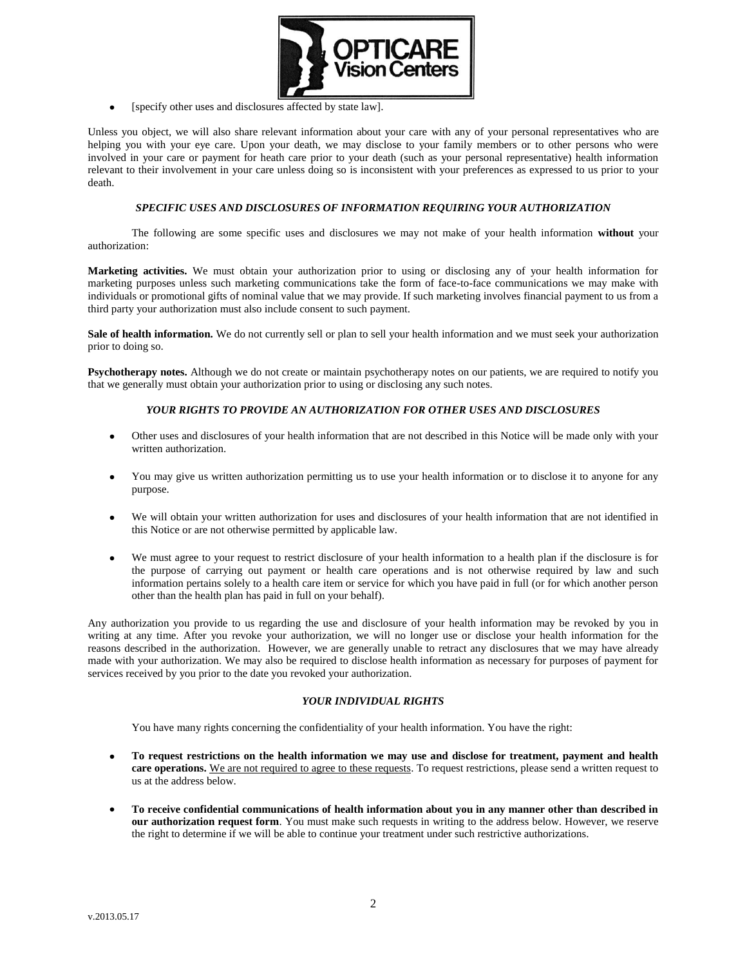

[specify other uses and disclosures affected by state law].

Unless you object, we will also share relevant information about your care with any of your personal representatives who are helping you with your eye care. Upon your death, we may disclose to your family members or to other persons who were involved in your care or payment for heath care prior to your death (such as your personal representative) health information relevant to their involvement in your care unless doing so is inconsistent with your preferences as expressed to us prior to your death.

#### *SPECIFIC USES AND DISCLOSURES OF INFORMATION REQUIRING YOUR AUTHORIZATION*

The following are some specific uses and disclosures we may not make of your health information **without** your authorization:

**Marketing activities.** We must obtain your authorization prior to using or disclosing any of your health information for marketing purposes unless such marketing communications take the form of face-to-face communications we may make with individuals or promotional gifts of nominal value that we may provide. If such marketing involves financial payment to us from a third party your authorization must also include consent to such payment.

Sale of health information. We do not currently sell or plan to sell your health information and we must seek your authorization prior to doing so.

**Psychotherapy notes.** Although we do not create or maintain psychotherapy notes on our patients, we are required to notify you that we generally must obtain your authorization prior to using or disclosing any such notes.

### *YOUR RIGHTS TO PROVIDE AN AUTHORIZATION FOR OTHER USES AND DISCLOSURES*

- Other uses and disclosures of your health information that are not described in this Notice will be made only with your written authorization.
- You may give us written authorization permitting us to use your health information or to disclose it to anyone for any purpose.
- We will obtain your written authorization for uses and disclosures of your health information that are not identified in this Notice or are not otherwise permitted by applicable law.
- We must agree to your request to restrict disclosure of your health information to a health plan if the disclosure is for the purpose of carrying out payment or health care operations and is not otherwise required by law and such information pertains solely to a health care item or service for which you have paid in full (or for which another person other than the health plan has paid in full on your behalf).

Any authorization you provide to us regarding the use and disclosure of your health information may be revoked by you in writing at any time. After you revoke your authorization, we will no longer use or disclose your health information for the reasons described in the authorization. However, we are generally unable to retract any disclosures that we may have already made with your authorization. We may also be required to disclose health information as necessary for purposes of payment for services received by you prior to the date you revoked your authorization.

## *YOUR INDIVIDUAL RIGHTS*

You have many rights concerning the confidentiality of your health information. You have the right:

- **To request restrictions on the health information we may use and disclose for treatment, payment and health**   $\bullet$ **care operations.** We are not required to agree to these requests. To request restrictions, please send a written request to us at the address below.
- **To receive confidential communications of health information about you in any manner other than described in our authorization request form**. You must make such requests in writing to the address below. However, we reserve the right to determine if we will be able to continue your treatment under such restrictive authorizations.